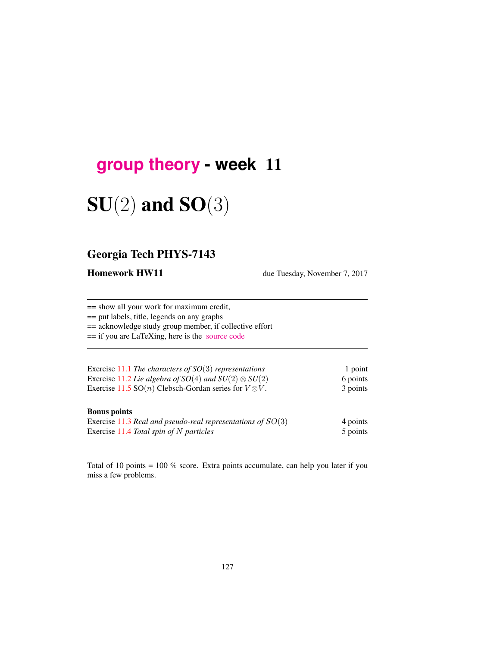## **[group theory](http://birdtracks.eu/courses/PHYS-7143-17/schedule.html) - week** 11

# $SU(2)$  and  $SO(3)$

## Georgia Tech PHYS-7143

Homework HW11 due Tuesday, November 7, 2017

== show all your work for maximum credit,

== put labels, title, legends on any graphs

== acknowledge study group member, if collective effort

== if you are LaTeXing, here is the [source code](http://birdtracks.eu/courses/PHYS-7143-17/exerWeek11.tex)

| Exercise 11.1 The characters of $SO(3)$ representations                | 1 point  |
|------------------------------------------------------------------------|----------|
| Exercise 11.2 Lie algebra of $SO(4)$ and $SU(2) \otimes SU(2)$         | 6 points |
| Exercise 11.5 SO( <i>n</i> ) Clebsch-Gordan series for $V \otimes V$ . | 3 points |

#### Bonus points

| Exercise 11.3 Real and pseudo-real representations of $SO(3)$ | 4 points |
|---------------------------------------------------------------|----------|
| Exercise 11.4 Total spin of $N$ particles                     | 5 points |

Total of 10 points = 100 % score. Extra points accumulate, can help you later if you miss a few problems.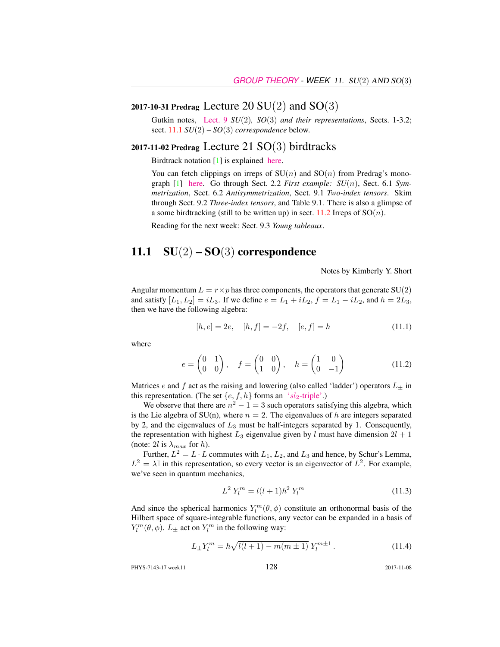## 2017-10-31 Predrag Lecture 20  $SU(2)$  and  $SO(3)$

Gutkin notes, [Lect. 9](http://birdtracks.eu/courses/PHYS-7143-17/groups.pdf) *SU*(2)*, SO*(3) *and their representations*, Sects. 1-3.2; sect. 11.1 *SU*(2) *– SO*(3) *correspondence* below.

#### 2017-11-02 Predrag Lecture 21  $SO(3)$  birdtracks

Birdtrack notation [1] is explained [here.](http://birdtracks.eu/courses/PHYS-7143-17/week15lect30.pdf)

You can fetch clippings on irreps of  $SU(n)$  and  $SO(n)$  from Predrag's monograph [1] [here.](http://birdtracks.eu/courses/PHYS-7143-17/week11lect22.pdf) Go through Sect. 2.2 *First example: SU*(n), Sect. 6.1 *Symmetrization*, Sect. 6.2 *Antisymmetrization*, Sect. 9.1 *Two-index tensors*. Skim through Sect. 9.2 *Three-index tensors*, and Table 9.1. There is also a glimpse of a some birdtracking (still to be written up) in sect. 11.2 Irreps of  $SO(n)$ .

Reading for the next week: Sect. 9.3 *Young tableaux*.

### 11.1  $SU(2) - SO(3)$  correspondence

Notes by Kimberly Y. Short

Angular momentum  $L = r \times p$  has three components, the operators that generate SU(2) and satisfy  $[L_1, L_2] = iL_3$ . If we define  $e = L_1 + iL_2$ ,  $f = L_1 - iL_2$ , and  $h = 2L_3$ , then we have the following algebra:

$$
[h, e] = 2e, \quad [h, f] = -2f, \quad [e, f] = h \tag{11.1}
$$

where

$$
e = \begin{pmatrix} 0 & 1 \\ 0 & 0 \end{pmatrix}, \quad f = \begin{pmatrix} 0 & 0 \\ 1 & 0 \end{pmatrix}, \quad h = \begin{pmatrix} 1 & 0 \\ 0 & -1 \end{pmatrix}
$$
 (11.2)

Matrices e and f act as the raising and lowering (also called 'ladder') operators  $L_{\pm}$  in this representation. (The set  $\{e, f, h\}$  forms an 'sl<sub>2</sub>[-triple'.](https://en.wikipedia.org/wiki/Sl2-triple))

We observe that there are  $n^2 - 1 = 3$  such operators satisfying this algebra, which is the Lie algebra of SU(n), where  $n = 2$ . The eigenvalues of h are integers separated by 2, and the eigenvalues of  $L_3$  must be half-integers separated by 1. Consequently, the representation with highest  $L_3$  eigenvalue given by l must have dimension  $2l + 1$ (note: 2l is  $\lambda_{max}$  for h).

Further,  $L^2 = L \cdot L$  commutes with  $L_1, L_2$ , and  $L_3$  and hence, by Schur's Lemma,  $L^2 = \lambda \mathbb{I}$  in this representation, so every vector is an eigenvector of  $L^2$ . For example, we've seen in quantum mechanics,

$$
L^2 Y_l^m = l(l+1)\hbar^2 Y_l^m \tag{11.3}
$$

And since the spherical harmonics  $Y_l^m(\theta, \phi)$  constitute an orthonormal basis of the Hilbert space of square-integrable functions, any vector can be expanded in a basis of  $Y_l^m(\theta, \phi)$ .  $L_{\pm}$  act on  $Y_l^m$  in the following way:

$$
L_{\pm}Y_l^m = \hbar \sqrt{l(l+1) - m(m \pm 1)} Y_l^{m \pm 1}.
$$
 (11.4)

PHYS-7143-17 week11 128 2017-11-08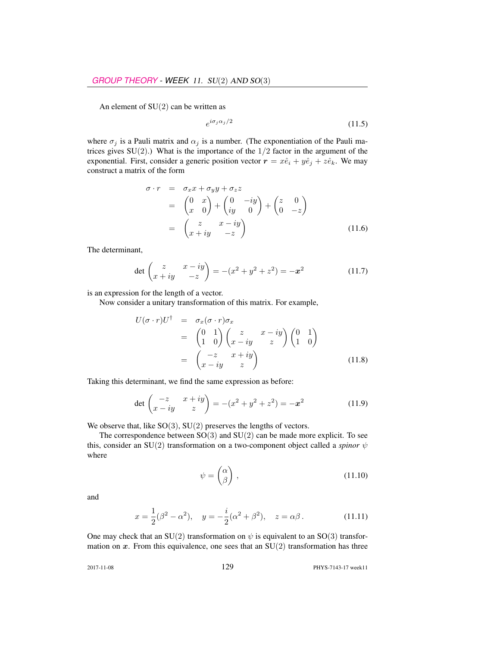An element of  $SU(2)$  can be written as

$$
e^{i\sigma_j \alpha_j/2} \tag{11.5}
$$

where  $\sigma_j$  is a Pauli matrix and  $\alpha_j$  is a number. (The exponentiation of the Pauli matrices gives  $SU(2)$ .) What is the importance of the  $1/2$  factor in the argument of the exponential. First, consider a generic position vector  $\mathbf{r} = x\hat{e}_i + y\hat{e}_j + z\hat{e}_k$ . We may construct a matrix of the form

$$
\sigma \cdot r = \sigma_x x + \sigma_y y + \sigma_z z
$$
  
=  $\begin{pmatrix} 0 & x \\ x & 0 \end{pmatrix} + \begin{pmatrix} 0 & -iy \\ iy & 0 \end{pmatrix} + \begin{pmatrix} z & 0 \\ 0 & -z \end{pmatrix}$   
=  $\begin{pmatrix} z & x - iy \\ x + iy & -z \end{pmatrix}$  (11.6)

The determinant,

$$
\det \begin{pmatrix} z & x - iy \\ x + iy & -z \end{pmatrix} = -(x^2 + y^2 + z^2) = -x^2 \tag{11.7}
$$

is an expression for the length of a vector.

Now consider a unitary transformation of this matrix. For example,

$$
U(\sigma \cdot r)U^{\dagger} = \sigma_x(\sigma \cdot r)\sigma_x
$$
  
=  $\begin{pmatrix} 0 & 1 \\ 1 & 0 \end{pmatrix} \begin{pmatrix} z & x - iy \\ x - iy & z \end{pmatrix} \begin{pmatrix} 0 & 1 \\ 1 & 0 \end{pmatrix}$   
=  $\begin{pmatrix} -z & x + iy \\ x - iy & z \end{pmatrix}$  (11.8)

Taking this determinant, we find the same expression as before:

$$
\det \begin{pmatrix} -z & x+iy \\ x-iy & z \end{pmatrix} = -(x^2 + y^2 + z^2) = -x^2 \tag{11.9}
$$

We observe that, like  $SO(3)$ ,  $SU(2)$  preserves the lengths of vectors.

The correspondence between  $SO(3)$  and  $SU(2)$  can be made more explicit. To see this, consider an SU(2) transformation on a two-component object called a *spinor* ψ where

$$
\psi = \begin{pmatrix} \alpha \\ \beta \end{pmatrix}, \tag{11.10}
$$

and

$$
x = \frac{1}{2}(\beta^2 - \alpha^2), \quad y = -\frac{i}{2}(\alpha^2 + \beta^2), \quad z = \alpha\beta.
$$
 (11.11)

One may check that an SU(2) transformation on  $\psi$  is equivalent to an SO(3) transformation on  $x$ . From this equivalence, one sees that an  $SU(2)$  transformation has three

2017-11-08 129 PHYS-7143-17 week11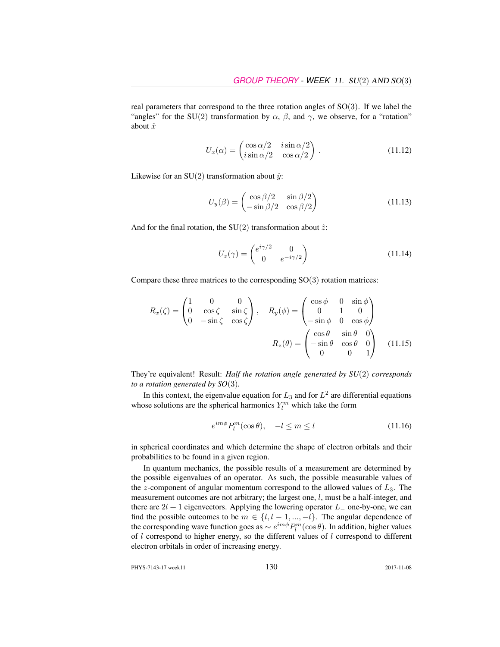real parameters that correspond to the three rotation angles of SO(3). If we label the "angles" for the SU(2) transformation by  $\alpha$ ,  $\beta$ , and  $\gamma$ , we observe, for a "rotation" about  $\hat{x}$ 

$$
U_x(\alpha) = \begin{pmatrix} \cos \alpha/2 & i \sin \alpha/2 \\ i \sin \alpha/2 & \cos \alpha/2 \end{pmatrix} .
$$
 (11.12)

Likewise for an SU(2) transformation about  $\hat{y}$ :

$$
U_y(\beta) = \begin{pmatrix} \cos \beta/2 & \sin \beta/2\\ -\sin \beta/2 & \cos \beta/2 \end{pmatrix}
$$
 (11.13)

And for the final rotation, the SU(2) transformation about  $\hat{z}$ :

$$
U_z(\gamma) = \begin{pmatrix} e^{i\gamma/2} & 0\\ 0 & e^{-i\gamma/2} \end{pmatrix}
$$
 (11.14)

Compare these three matrices to the corresponding  $SO(3)$  rotation matrices:

$$
R_x(\zeta) = \begin{pmatrix} 1 & 0 & 0 \\ 0 & \cos \zeta & \sin \zeta \\ 0 & -\sin \zeta & \cos \zeta \end{pmatrix}, \quad R_y(\phi) = \begin{pmatrix} \cos \phi & 0 & \sin \phi \\ 0 & 1 & 0 \\ -\sin \phi & 0 & \cos \phi \end{pmatrix}
$$

$$
R_z(\theta) = \begin{pmatrix} \cos \theta & \sin \theta & 0 \\ -\sin \theta & \cos \theta & 0 \\ 0 & 0 & 1 \end{pmatrix} \quad (11.15)
$$

They're equivalent! Result: *Half the rotation angle generated by SU*(2) *corresponds to a rotation generated by SO*(3)*.*

In this context, the eigenvalue equation for  $L_3$  and for  $L^2$  are differential equations whose solutions are the spherical harmonics  $Y_l^m$  which take the form

$$
e^{im\phi}P_l^m(\cos\theta), \quad -l \le m \le l \tag{11.16}
$$

in spherical coordinates and which determine the shape of electron orbitals and their probabilities to be found in a given region.

In quantum mechanics, the possible results of a measurement are determined by the possible eigenvalues of an operator. As such, the possible measurable values of the z-component of angular momentum correspond to the allowed values of  $L_3$ . The measurement outcomes are not arbitrary; the largest one, l, must be a half-integer, and there are  $2l + 1$  eigenvectors. Applying the lowering operator  $L_$  one-by-one, we can find the possible outcomes to be  $m \in \{l, l-1, ..., -l\}$ . The angular dependence of the corresponding wave function goes as  $\sim e^{im\phi}P_l^m(\cos\theta)$ . In addition, higher values of l correspond to higher energy, so the different values of l correspond to different electron orbitals in order of increasing energy.

PHYS-7143-17 week11 130 2017-11-08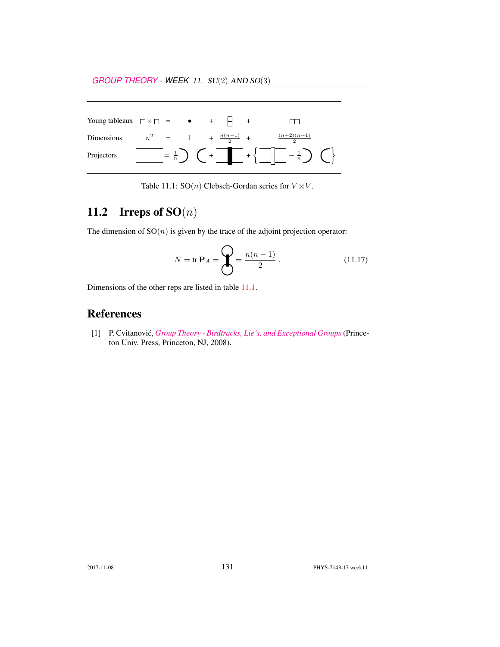| Young tableaux $\Box \times \Box$ = $\bullet$ + $\Box$ + |  |  |                                |                                                                                                                                             |  |
|----------------------------------------------------------|--|--|--------------------------------|---------------------------------------------------------------------------------------------------------------------------------------------|--|
| <b>Dimensions</b>                                        |  |  | $n^2 = 1 + \frac{n(n-1)}{2} +$ | $\frac{(n+2)(n-1)}{2}$                                                                                                                      |  |
| Projectors                                               |  |  |                                | $\left[-\frac{1}{n}\right)$ $\left(-\frac{1}{n}\right)$ $\left(-\frac{1}{n}\right)$ $\left(-\frac{1}{n}\right)$ $\left(-\frac{1}{n}\right)$ |  |

Table 11.1: SO(*n*) Clebsch-Gordan series for  $V \otimes V$ .

## 11.2 Irreps of  $SO(n)$

The dimension of  $SO(n)$  is given by the trace of the adjoint projection operator:

$$
N = \text{tr } \mathbf{P}_A = \bigotimes_{n=1}^{\infty} \frac{n(n-1)}{2} \,. \tag{11.17}
$$

Dimensions of the other reps are listed in table 11.1.

## References

[1] P. Cvitanovic,´ *[Group Theory - Birdtracks, Lie's, and Exceptional Groups](http://dx.doi.org/10.1515/9781400837670)*(Princeton Univ. Press, Princeton, NJ, 2008).

2017-11-08 131 PHYS-7143-17 week11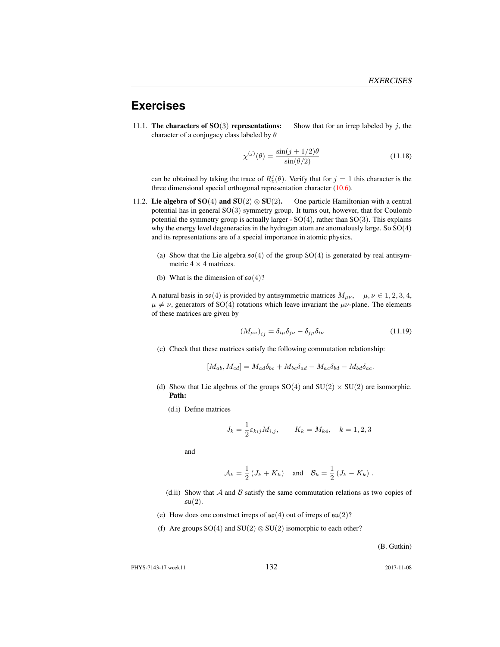#### **Exercises**

11.1. The characters of  $SO(3)$  representations: Show that for an irrep labeled by j, the character of a conjugacy class labeled by  $\theta$ 

$$
\chi^{(j)}(\theta) = \frac{\sin(j+1/2)\theta}{\sin(\theta/2)}
$$
(11.18)

can be obtained by taking the trace of  $R_z^j(\theta)$ . Verify that for  $j = 1$  this character is the three dimensional special orthogonal representation character (10.6).

- 11.2. Lie algebra of SO(4) and SU(2)  $\otimes$  SU(2). One particle Hamiltonian with a central potential has in general SO(3) symmetry group. It turns out, however, that for Coulomb potential the symmetry group is actually larger -  $SO(4)$ , rather than  $SO(3)$ . This explains why the energy level degeneracies in the hydrogen atom are anomalously large. So SO(4) and its representations are of a special importance in atomic physics.
	- (a) Show that the Lie algebra  $\mathfrak{so}(4)$  of the group SO(4) is generated by real antisymmetric  $4 \times 4$  matrices.
	- (b) What is the dimension of  $\mathfrak{so}(4)$ ?

A natural basis in  $\mathfrak{so}(4)$  is provided by antisymmetric matrices  $M_{\mu\nu}$ ,  $\mu, \nu \in 1, 2, 3, 4$ ,  $\mu \neq \nu$ , generators of SO(4) rotations which leave invariant the  $\mu\nu$ -plane. The elements of these matrices are given by

$$
\left(M_{\mu\nu}\right)_{ij} = \delta_{i\mu}\delta_{j\nu} - \delta_{j\mu}\delta_{i\nu} \tag{11.19}
$$

(c) Check that these matrices satisfy the following commutation relationship:

$$
[M_{ab}, M_{cd}] = M_{ad}\delta_{bc} + M_{bc}\delta_{ad} - M_{ac}\delta_{bd} - M_{bd}\delta_{ac}.
$$

- (d) Show that Lie algebras of the groups  $SO(4)$  and  $SU(2) \times SU(2)$  are isomorphic. Path:
	- (d.i) Define matrices

$$
J_k = \frac{1}{2} \varepsilon_{kij} M_{i,j}, \qquad K_k = M_{k4}, \quad k = 1, 2, 3
$$

and

$$
\mathcal{A}_k = \frac{1}{2} \left( J_k + K_k \right) \quad \text{and} \quad \mathcal{B}_k = \frac{1}{2} \left( J_k - K_k \right) .
$$

- (d.ii) Show that  $A$  and  $B$  satisfy the same commutation relations as two copies of  $\mathfrak{su}(2)$ .
- (e) How does one construct irreps of  $\mathfrak{so}(4)$  out of irreps of  $\mathfrak{su}(2)$ ?
- (f) Are groups  $SO(4)$  and  $SU(2) \otimes SU(2)$  isomorphic to each other?

(B. Gutkin)

PHYS-7143-17 week11 132 2017-11-08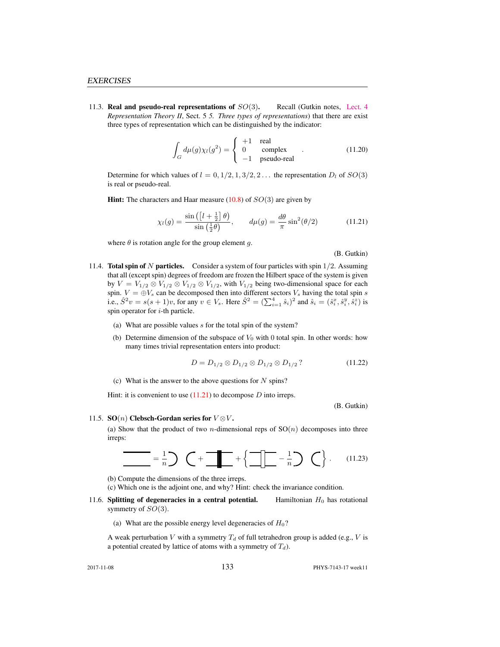11.3. Real and pseudo-real representations of  $SO(3)$ . Recall (Gutkin notes, [Lect. 4](http://birdtracks.eu/courses/PHYS-7143-17/groups.pdf) *Representation Theory II*, Sect. 5 *5. Three types of representations*) that there are exist three types of representation which can be distinguished by the indicator:

$$
\int_{G} d\mu(g)\chi_{l}(g^{2}) = \begin{cases}\n+1 & \text{real} \\
0 & \text{complex} \\
-1 & \text{pseudo-real}\n\end{cases}
$$
\n(11.20)

Determine for which values of  $l = 0, 1/2, 1, 3/2, 2...$  the representation  $D_l$  of  $SO(3)$ is real or pseudo-real.

**Hint:** The characters and Haar measure  $(10.8)$  of  $SO(3)$  are given by

$$
\chi_l(g) = \frac{\sin\left(\left[l + \frac{1}{2}\right]\theta\right)}{\sin\left(\frac{1}{2}\theta\right)}, \qquad d\mu(g) = \frac{d\theta}{\pi}\sin^2(\theta/2) \tag{11.21}
$$

where  $\theta$  is rotation angle for the group element g.

(B. Gutkin)

- 11.4. **Total spin of N particles.** Consider a system of four particles with spin  $1/2$ . Assuming that all (except spin) degrees of freedom are frozen the Hilbert space of the system is given by  $V = V_{1/2} \otimes V_{1/2} \otimes V_{1/2} \otimes V_{1/2}$ , with  $V_{1/2}$  being two-dimensional space for each spin.  $V = \bigoplus V_s$  can be decomposed then into different sectors  $V_s$  having the total spin s i.e.,  $\hat{S}^2 v = s(s+1)v$ , for any  $v \in V_s$ . Here  $\hat{S}^2 = (\sum_{i=1}^4 \hat{s}_i)^2$  and  $\hat{s}_i = (\hat{s}_i^x, \hat{s}_i^y, \hat{s}_i^z)$  is spin operator for  $i$ -th particle.
	- (a) What are possible values s for the total spin of the system?
	- (b) Determine dimension of the subspace of  $V_0$  with 0 total spin. In other words: how many times trivial representation enters into product:

$$
D = D_{1/2} \otimes D_{1/2} \otimes D_{1/2} \otimes D_{1/2} ? \tag{11.22}
$$

(c) What is the answer to the above questions for  $N$  spins?

Hint: it is convenient to use  $(11.21)$  to decompose D into irreps.

(B. Gutkin)

#### 11.5. SO(n) Clebsch-Gordan series for  $V \otimes V$ .

(a) Show that the product of two *n*-dimensional reps of  $SO(n)$  decomposes into three irreps:

$$
\frac{1}{\sqrt{1-\frac{1}{n}}}\sum_{n=1}^{\infty}(-1)^n\left(-\frac{1}{n}\sum_{n=1}^{\infty}\frac{1}{n}\sum_{n=1}^{\infty}\frac{1}{n}\sum_{n=1}^{\infty}\frac{1}{n}\sum_{n=1}^{\infty}\frac{1}{n}\sum_{n=1}^{\infty}\frac{1}{n}\sum_{n=1}^{\infty}\frac{1}{n}\sum_{n=1}^{\infty}\frac{1}{n}\sum_{n=1}^{\infty}\frac{1}{n}\sum_{n=1}^{\infty}\frac{1}{n}\sum_{n=1}^{\infty}\frac{1}{n}\sum_{n=1}^{\infty}\frac{1}{n}\sum_{n=1}^{\infty}\frac{1}{n}\sum_{n=1}^{\infty}\frac{1}{n}\sum_{n=1}^{\infty}\frac{1}{n}\sum_{n=1}^{\infty}\frac{1}{n}\sum_{n=1}^{\infty}\frac{1}{n}\sum_{n=1}^{\infty}\frac{1}{n}\sum_{n=1}^{\infty}\frac{1}{n}\sum_{n=1}^{\infty}\frac{1}{n}\sum_{n=1}^{\infty}\frac{1}{n}\sum_{n=1}^{\infty}\frac{1}{n}\sum_{n=1}^{\infty}\frac{1}{n}\sum_{n=1}^{\infty}\frac{1}{n}\sum_{n=1}^{\infty}\frac{1}{n}\sum_{n=1}^{\infty}\frac{1}{n}\sum_{n=1}^{\infty}\frac{1}{n}\sum_{n=1}^{\infty}\frac{1}{n}\sum_{n=1}^{\infty}\frac{1}{n}\sum_{n=1}^{\infty}\frac{1}{n}\sum_{n=1}^{\infty}\frac{1}{n}\sum_{n=1}^{\infty}\frac{1}{n}\sum_{n=1}^{\infty}\frac{1}{n}\sum_{n=1}^{\infty}\frac{1}{n}\sum_{n=1}^{\infty}\frac{1}{n}\sum_{n=1}^{\infty}\frac{1}{n}\sum_{n=1}^{\infty}\frac{1}{n}\sum_{n=1}^{\infty}\frac{1}{n}\sum_{n=1}^{\infty}\frac{1}{n}\sum_{n=1}^{\infty}\frac{1}{n}\sum_{n=1}^{\infty}\frac{1}{n}\sum_{n=1}^{\infty}\frac{1}{n}\sum_{n=1}^{\infty}\frac{1}{n}\sum_{n=
$$

(b) Compute the dimensions of the three irreps.

(c) Which one is the adjoint one, and why? Hint: check the invariance condition.

11.6. Splitting of degeneracies in a central potential. Hamiltonian  $H_0$  has rotational symmetry of  $SO(3)$ .

(a) What are the possible energy level degeneracies of  $H_0$ ?

A weak perturbation V with a symmetry  $T_d$  of full tetrahedron group is added (e.g., V is a potential created by lattice of atoms with a symmetry of  $T_d$ ).

2017-11-08 133 PHYS-7143-17 week11